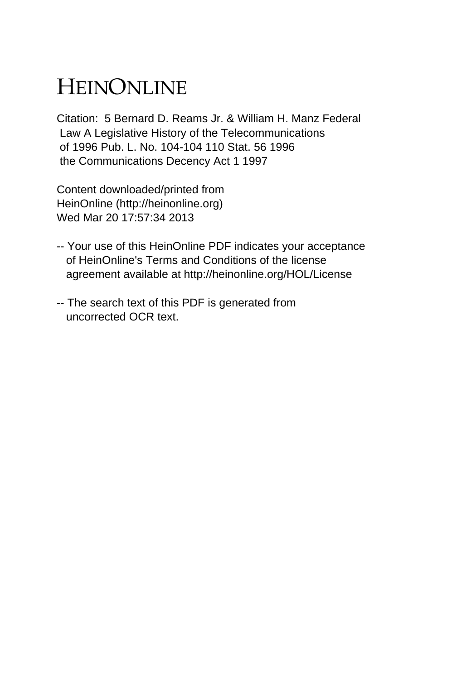# HEINONLINE

Citation: 5 Bernard D. Reams Jr. & William H. Manz Federal Law A Legislative History of the Telecommunications of 1996 Pub. L. No. 104-104 110 Stat. 56 1996 the Communications Decency Act 1 1997

Content downloaded/printed from HeinOnline (http://heinonline.org) Wed Mar 20 17:57:34 2013

- -- Your use of this HeinOnline PDF indicates your acceptance of HeinOnline's Terms and Conditions of the license agreement available at http://heinonline.org/HOL/License
- -- The search text of this PDF is generated from uncorrected OCR text.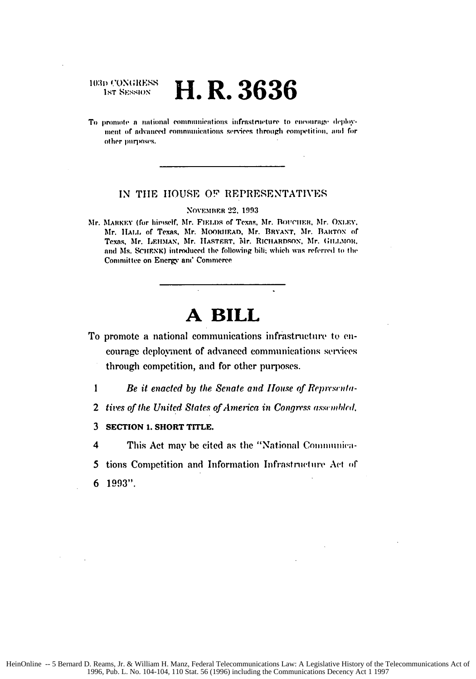103p CONGRESS **1st SESSION** 

# H.R. 3636

To promote a national communications infrastructure to encourage deployment of advanced communications services through competition, and for other purposes.

## IN THE HOUSE OF REPRESENTATIVES

#### NOVEMBER 22, 1993

Mr. MARKEY (for himself, Mr. FIELDS of Texas, Mr. BOUCHER, Mr. OXLEY, Mr. HALL of Texas, Mr. MOORHEAD, Mr. BRYANT, Mr. BARTON of Texas, Mr. LEHMAN, Mr. HASTERT, Mr. RICHARDSON, Mr. GILLMOR, and Ms. SCHENK) introduced the following bili; which was referred to the Committee on Energy and Commerce

# A BILL

To promote a national communications infrastructure to encourage deployment of advanced communications services through competition, and for other purposes.

 $\mathbf{1}$ Be it enacted by the Senate and House of Representa-

 $\overline{2}$ tives of the United States of America in Congress assembled.

#### **SECTION 1. SHORT TITLE.** 3

 $\overline{\mathbf{4}}$ This Act may be cited as the "National Communica-

5 tions Competition and Information Infrastructure Act of

6 1993".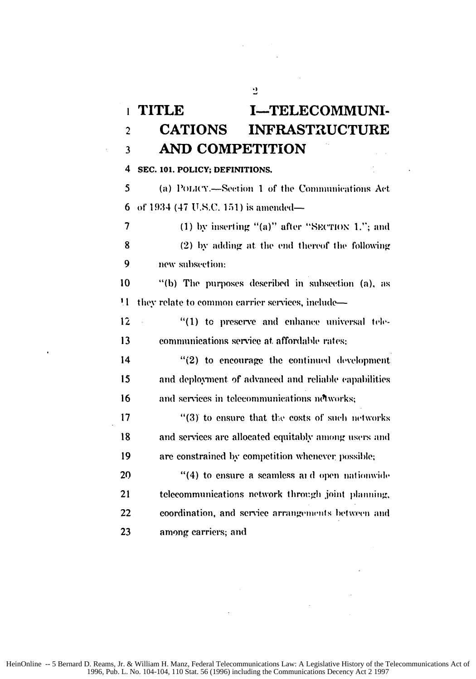#### **TITLE** I-TELECOMMUNI- $\mathbf{I}$ **CATIONS INFRASTRUCTURE**  $\overline{2}$ AND COMPETITION 3

#### $\boldsymbol{A}$ SEC. 101. POLICY; DEFINITIONS.

 $\overline{\mathbf{S}}$ (a) POLICY.—Section 1 of the Communications Act of 1934 (47 U.S.C. 151) is amended-6

 $\overline{7}$ (1) by inserting "(a)" after "SECTION 1."; and 8 (2) by adding at the end thereof the following 9 new subsection:

10 "(b) The purposes described in subsection (a), as they relate to common carrier services, include-11

 $12$ "(1) to preserve and enhance universal tele-13 communications service at affordable rates:

14 "(2) to encourage the continued development 15 and deployment of advanced and reliable capabilities 16 and services in telecommunications networks;

 $17$ "(3) to ensure that the costs of such networks 18 and services are allocated equitably among users and 19 are constrained by competition whenever possible;

 $20$ "(4) to ensure a seamless and open nationwide 21 telecommunications network through joint planning, 22 coordination, and service arrangements between and 23 among carriers; and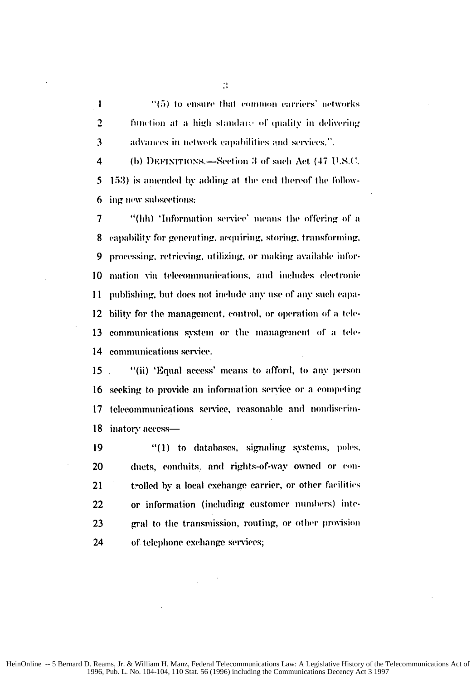$\mathbf{I}$ "(5) to ensure that common carriers' networks  $\overline{2}$ function at a high standare of quality in delivering 3 advances in network capabilities and services.".

(b) DEFINITIONS.—Section 3 of such Act (47 U.S.C. 4 5 153) is amended by adding at the end thereof the follow-6 ing new subsections:

 $\overline{1}$ "(hh) 'Information service' means the offering of a eapability for generating, acquiring, storing, transforming, 8 9 processing, retrieving, utilizing, or making available information via telecommunications, and includes electronic  $10<sup>°</sup>$  $\mathbf{1}$ publishing, but does not include any use of any such capa- $12$ bility for the management, control, or operation of a telecommunications system or the management of a tele-13 communications service.  $14$ 

15 "(ii) 'Equal access' means to afford, to any person 16 seeking to provide an information service or a competing telecommunications service, reasonable and nondiscrim- $17$ 18 inatory access-

19 "(1) to databases, signaling systems, poles, 20 ducts, conduits, and rights-of-way owned or con- $21$ trolled by a local exchange carrier, or other facilities 22 or information (including customer numbers) inte-23 gral to the transmission, routing, or other provision 24 of telephone exchange services;

 $\ddot{.}$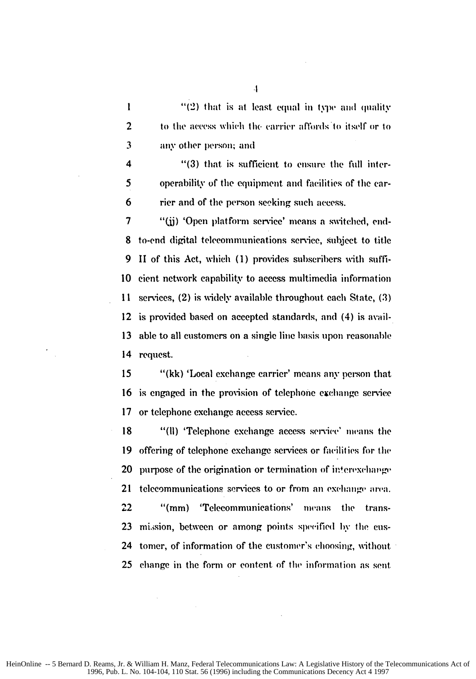**1 1 ''(2)** that is at least equal in type and quality 2 to the access which the carrier affords to itself or to 3 any other person; and

4 "(3) that is sufficient to ensure the full inter-5 operability of the equipment and facilities of the car-6 rier and of the person seeking such access.

7 "(jj) 'Open platform service' means a switched, end-8 to-end digital telecommunications service, subject to title 9 II of this Act, which (1) provides subscribers with suffi-10 cient network capability to access multimedia information **I I** services, (2) is widely available throughout each State, (3) 12 is provided based on accepted standards, and (4) is avail-13 able to all customers on a single line basis upon reasonable 14 request.

15 "(kk) 'Local exchange carrier' means any person that 16 is engaged in the provision of telephone exchange service 17 or telephone exchange access service.

18 **"(11)** 'Telephone exchange access service' means the 19 offering of telephone exchange services or facilities for the 20 purpose of the origination or termination of interexchange 21 telecommunications services to or from an exchange area. 22 "(mm) 'Telecommunications' means the trans-23 mi.ision, between or among points spevified *by* the ens-24 tomer, of information of the customer's choosing, without 25 change in the form or content of the information as sent.

 $\mathbf{I}$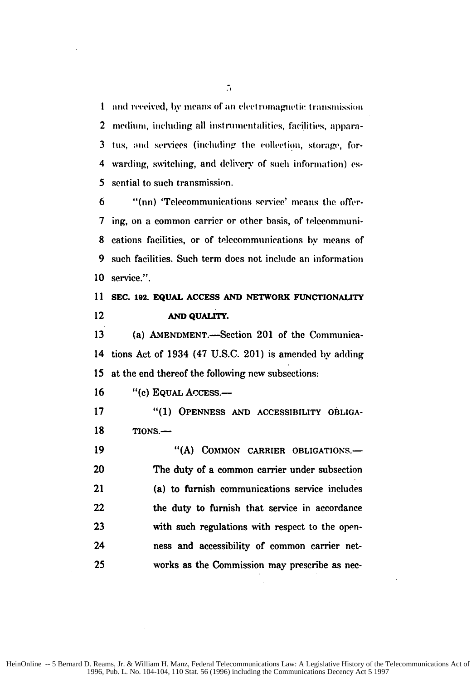1 and received, by means of an electromagnetic transmission 2 medium, including all instrumentalities, facilities, appara-3 tus, and services (including the collection, storage, for-4 warding, switching, and delivery of such information) essential to such transmission. 5

6 "(nn) 'Telecommunications service' means the offering, on a common carrier or other basis, of telecommuni-7 8 cations facilities, or of telecommunications by means of such facilities. Such term does not include an information 9 10 service.".

#### 11 SEC. 192. EQUAL ACCESS AND NETWORK FUNCTIONALITY  $12$ AND QUALITY.

13 (a) AMENDMENT.—Section 201 of the Communica-14 tions Act of 1934 (47 U.S.C. 201) is amended by adding at the end thereof the following new subsections: 15

16 "(c) EQUAL ACCESS.-

17 "(1) OPENNESS AND ACCESSIBILITY OBLIGA-18  $TIONS$ <sub>-</sub>

19 "(A) COMMON CARRIER OBLIGATIONS.-20 The duty of a common carrier under subsection  $21$ (a) to furnish communications service includes  $22$ the duty to furnish that service in accordance 23 with such regulations with respect to the open-24 ness and accessibility of common carrier net-25 works as the Commission may prescribe as nec-

5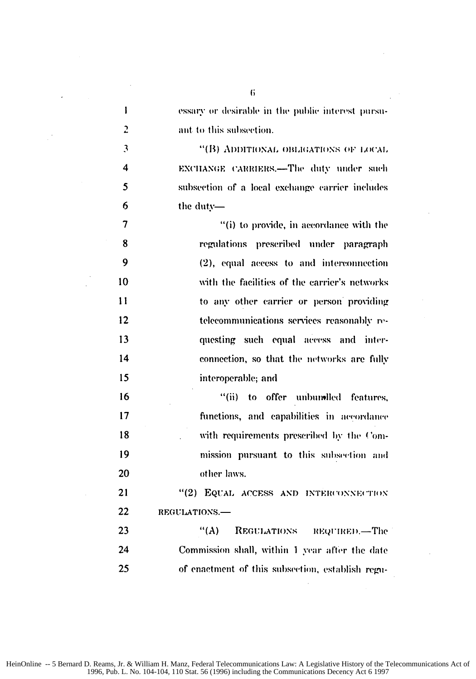| I              | essary or desirable in the public interest pursu- |
|----------------|---------------------------------------------------|
| $\mathbf{r}$   | ant to this subsection.                           |
| 3              | "(B) ADDITIONAL OBLIGATIONS OF LOCAL              |
| 4              | EXCHANGE CARRIERS.-The duty under such            |
| 5              | subsection of a local exchange carrier includes   |
| 6              | the duty-                                         |
| $\overline{7}$ | "(i) to provide, in accordance with the           |
| 8              | regulations prescribed under paragraph            |
| 9              | (2), equal access to and interconnection          |
| 10             | with the facilities of the carrier's networks     |
| 11             | to any other carrier or person providing          |
| 12             | telecommunications services reasonably re-        |
| 13             | questing such equal access and inter-             |
| 14             | connection, so that the networks are fully        |
| 15             | interoperable; and                                |
| 16             | "(ii) to offer unbundled features,                |
| 17             | functions, and capabilities in accordance         |
| 18             | with requirements prescribed by the Com-          |
| 19             | mission pursuant to this subsection and           |
| 20             | other laws.                                       |
| 21             | "(2) EQUAL ACCESS AND INTERCONNECTION             |
| 22             | REGULATIONS.-                                     |
| 23             | $\lq\lq (A)$<br>REGULATIONS REQUIRED.-The         |
| 24             | Commission shall, within 1 year after the date    |
| 25             | of enactment of this subsection, establish regu-  |

 $\sim$ 

 $\mathbf{R}$ 

 $\ddot{\phantom{0}}$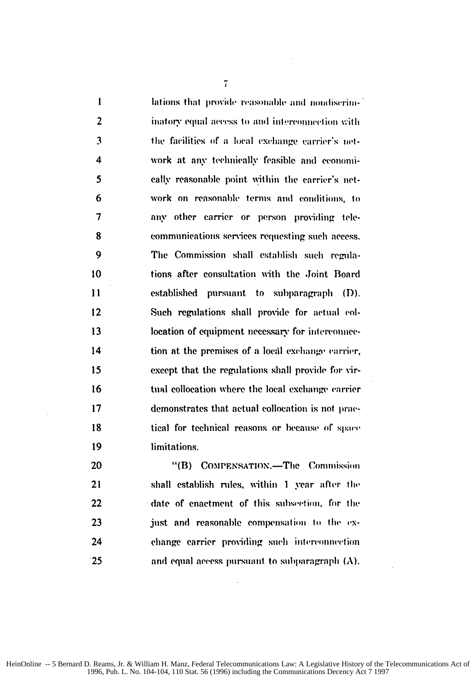| $\mathbf{I}$   | lations that provide reasonable and nondiscrim-    |
|----------------|----------------------------------------------------|
| $\overline{2}$ | inatory equal access to and interconnection with   |
| 3              | the facilities of a local exchange carrier's net-  |
| 4              | work at any technically feasible and economi-      |
| 5              | cally reasonable point within the carrier's net-   |
| 6              | work on reasonable terms and conditions, to        |
| 7              | any other carrier or person providing tele-        |
| 8              | communications services requesting such access.    |
| 9              | The Commission shall establish such regula-        |
| 10             | tions after consultation with the Joint Board      |
| 11             | established pursuant to subparagraph (D).          |
| 12             | Such regulations shall provide for actual col-     |
| 13             | location of equipment necessary for interconnec-   |
| 14             | tion at the premises of a local exchange carrier,  |
| 15             | except that the regulations shall provide for vir- |
| 16             | tual collocation where the local exchange carrier  |
| 17             | demonstrates that actual collocation is not prac-  |
| 18             | tical for technical reasons or because of space    |
| 19             | limitations.                                       |
| 20             | "(B) COMPENSATION.—The Commission                  |
| 21             | shall establish rules, within 1 year after the     |
| 22             | date of enactment of this subsection, for the      |
| 23             | just and reasonable compensation to the ex-        |

 $\bar{\gamma}$ 

24

 $25$ 

 $\overline{I}$ 

change carrier providing such interconnection

and equal access pursuant to subparagraph  $(A)$ .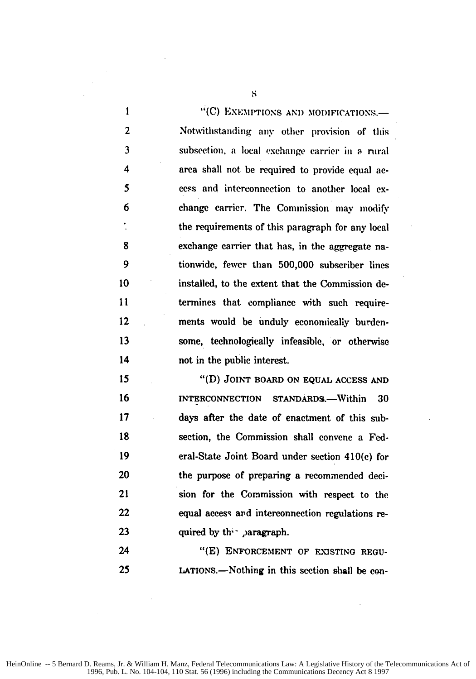- **I** "(C) ExEMrrIONS **AND** MODIFICATIONS.- 2 Notwithstanding any other provision of this 3 subsection, a local exchange carrier in a rural 4 area shall not **be** required to provide equal **ae-***5* **cess** and intereonnection to another local **ex-**6 change carrier. The Commission may modify the requirements of this paragraph for any local **8** exchange carrier that has, in the aggregate na-9 tionwide, fewer than 500,000 subscriber lines 10 installed, to the extent that the Commission de-11 **termines that compliance with such require-**12 ments would be unduly economically burden-13 some, technologically infeasible, or otherwise 14 not in the public interest. **15** "(D) JOINT BOARD ON EQUAL ACCESS AND 16 **INTERCONNECTION** STANDARDs.-Within **30 17** days after the date of enactment of this sub-**18** section, the Commission shall convene a **Fed-19** eral-State Joint Board under section 410(c) for 20 the purpose of preparing a recommended deci-21 sion for the Commission with respect to the 22 equal access ard interconnection regulations re-
- 23 quired by th<sup>-</sup> paragraph.
- 24 "(E) ENFORCEMENT OF EXISTING REGU-25 LATIONS.-Nothing in this section shall be con-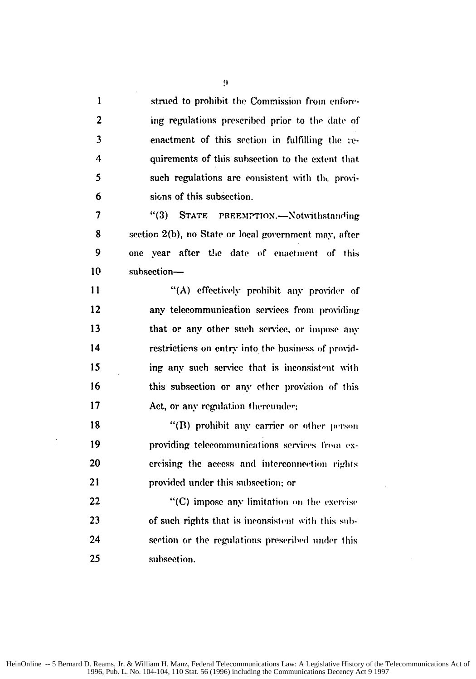| 1            | strued to prohibit the Commission from enforc-        |
|--------------|-------------------------------------------------------|
| $\mathbf{2}$ | ing regulations prescribed prior to the date of       |
| 3            | enactment of this section in fulfilling the re-       |
| 4            | quirements of this subsection to the extent that      |
| 5            | such regulations are consistent with the provi-       |
| 6            | sions of this subsection.                             |
| 7            | "(3) STATE PREEMPTION.—Notwithstanding                |
| 8            | section 2(b), no State or local government may, after |
| 9            | one year after the date of enactment of this          |
| 10           | subsection-                                           |
| 11           | "(A) effectively prohibit any provider of             |
| 12           | any telecommunication services from providing         |
| 13           | that or any other such service, or impose any         |
| 14           | restrictions on entry into the business of provid-    |
| 15           | ing any such service that is inconsistent with        |
| 16           | this subsection or any ether provision of this        |
| 17           | Act, or any regulation thereunder;                    |
| 18           | "(B) prohibit any carrier or other person             |
| 19           | providing telecommunications services from ex-        |
| 20           | ercising the access and interconnection rights        |
| 21           | provided under this subsection; or                    |
| 22           | "(C) impose any limitation on the exercise            |
| 23           | of such rights that is inconsistent with this sub-    |
| 24           | section or the regulations prescribed under this      |
| 25           | subsection.                                           |

 $\frac{1}{\epsilon}$ 

**pI**

HeinOnline -- 5 Bernard D. Reams, Jr. & William H. Manz, Federal Telecommunications Law: A Legislative History of the Telecommunications Act of 1996, Pub. L. No. 104-104, 110 Stat. 56 (1996) including the Communications Decency Act 9 1997

 $\hat{\mathcal{L}}$ 

 $\bar{z}$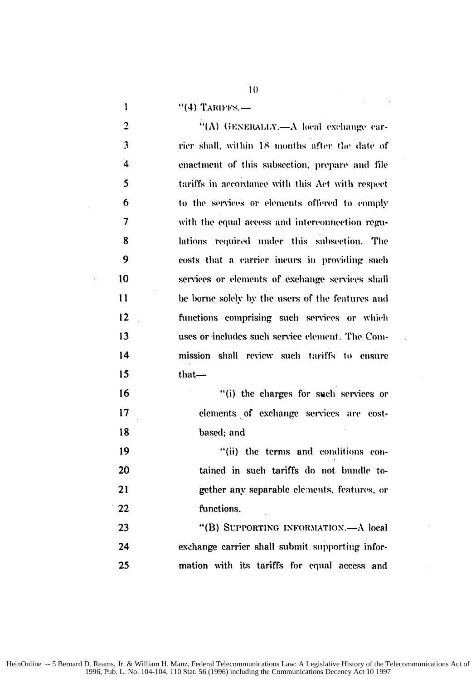**1** 1"(4) TARIFF.-

2 "(A) GENERALLY.—A local exchange car-3 rier shall, within 18 iaontlhs **;'h1tr** the date of 4 enactment of this subsection, prepare and file 5 tariffs in accordance with this Act with respect 6 to tile services or elements **olfired** to comply 7 with the equal access and interconnection **regu-**8 lations required under this subsection. The 9 costs that a carrier incurs in providing such **10** services or elements of exchange services shall <sup>11</sup>**be** borne solely **by** the users of the features and 12 functions comprising such services or which 13 uses or includes such service element. The Com-14 mission shall review such tariffs to ensure **15** that-16 "(i) the charges for such services or 17 elements of exchange services are cost-**18** based; and **19** "(ii) the terms and conditions **con-**20 tained in such tariffs do not bundle to-21 gether any separable ele'nents, features, or 22 functions. 23 "(B) SUPPORTING **INFORMATION.-A** local

24 exchange carrier shall submit supporting infor-**25 mation with its tariffs for equal access and** 

HeinOnline -- 5 Bernard D. Reams, Jr. & William H. Manz, Federal Telecommunications Law: A Legislative History of the Telecommunications Act of 1996, Pub. L. No. 104-104, 110 Stat. 56 (1996) including the Communications Decency Act 10 1997

**1()**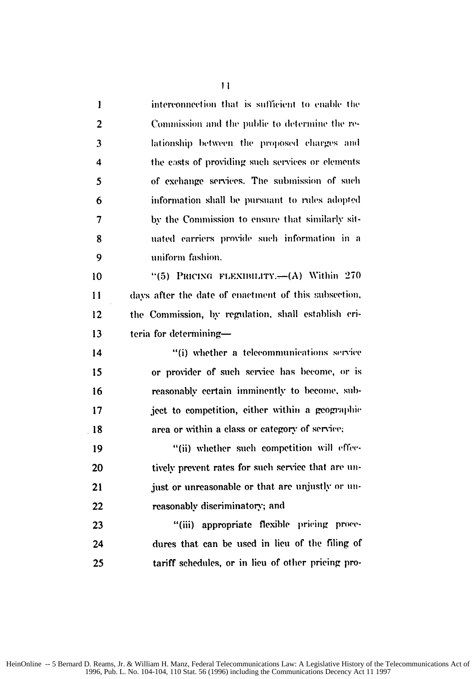| l                       | interconnection that is sufficient to enable the     |
|-------------------------|------------------------------------------------------|
| $\overline{2}$          | Commission and the public to determine the re-       |
| $\overline{\mathbf{3}}$ | lationship between the proposed charges and          |
| 4                       | the costs of providing such services or elements     |
| 5                       | of exchange services. The submission of such         |
| 6                       | information shall be pursuant to rules adopted       |
| 7                       | by the Commission to ensure that similarly sit-      |
| 8                       | uated carriers provide such information in a         |
| 9                       | uniform fashion.                                     |
| 10                      | " $(5)$ PRICING FLEXIBILITY.— $(A)$ Within 270       |
| 11                      | days after the date of enactment of this subsection, |
| 12                      | the Commission, by regulation, shall establish cri-  |
| 13                      | teria for determining-                               |
| 14                      | "(i) whether a telecommunications service            |
| 15                      | or provider of such service has become, or is        |
| 16                      | reasonably certain imminently to become, sub-        |
| 17                      | ject to competition, either within a geographic      |
| 18                      | area or within a class or category of service;       |
| 19                      | "(ii) whether such competition will effec-           |
| 20                      | tively prevent rates for such service that are un-   |
| 21                      | just or unreasonable or that are unjustly or un-     |
| 22                      | reasonably discriminatory; and                       |
| 23                      | "(iii) appropriate flexible pricing proce-           |
| 24                      | dures that can be used in lieu of the filing of      |
| 25                      | tariff schedules, or in lieu of other pricing pro-   |

 $\overline{11}$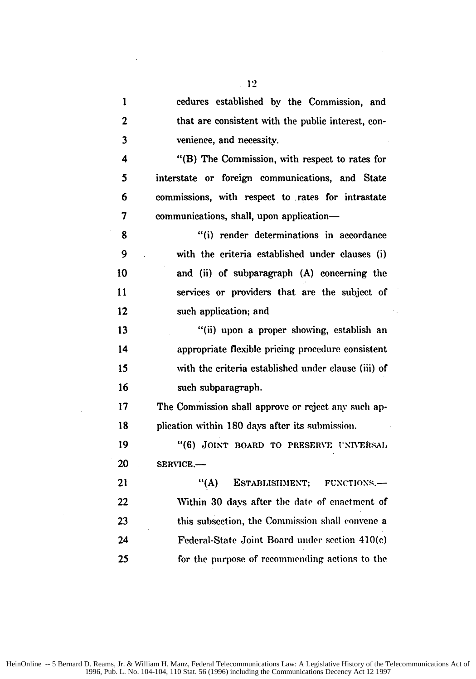| $\mathbf{1}$            | cedures established by the Commission, and          |
|-------------------------|-----------------------------------------------------|
| $\boldsymbol{2}$        | that are consistent with the public interest, con-  |
| 3                       | venience, and necessity.                            |
| $\overline{\mathbf{4}}$ | "(B) The Commission, with respect to rates for      |
| 5                       | interstate or foreign communications, and State     |
| 6                       | commissions, with respect to rates for intrastate   |
| 7                       | communications, shall, upon application-            |
| 8                       | "(i) render determinations in accordance            |
| 9                       | with the criteria established under clauses (i)     |
| 10                      | and (ii) of subparagraph (A) concerning the         |
| 11                      | services or providers that are the subject of       |
| 12                      | such application; and                               |
| 13                      | "(ii) upon a proper showing, establish an           |
| 14                      | appropriate flexible pricing procedure consistent   |
| 15                      | with the criteria established under clause (iii) of |
| 16                      | such subparagraph.                                  |
| 17                      | The Commission shall approve or reject any such ap- |
| 18                      | plication within 180 days after its submission.     |
| 19                      | "(6) JOINT BOARD TO PRESERVE UNIVERSAL              |
| 20                      | SERVICE.-                                           |
| 21                      | $\lq\lq (A)$<br>ESTABLISHMENT;<br>FUNCTIONS.-       |
| 22                      | Within 30 days after the date of enactment of       |
| 23                      | this subsection, the Commission shall convene a     |
| 24                      | Federal-State Joint Board under section 410(c)      |
| 25                      | for the purpose of recommending actions to the      |

 $\sqrt{12}$ 

 $\bar{z}$ 

 $\sim 10^{-11}$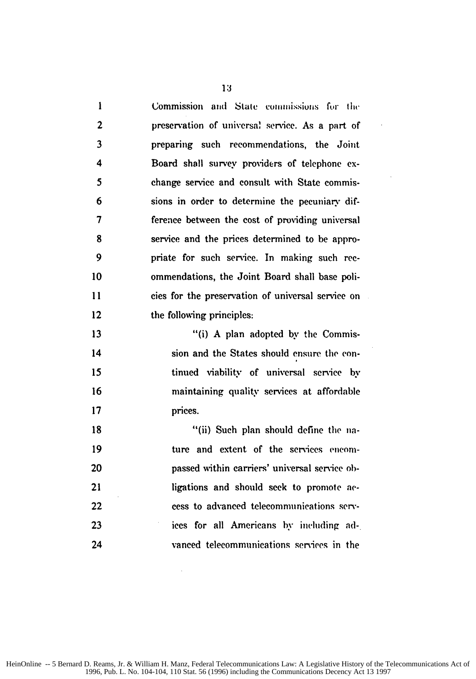| 1            | Commission and State commissions for the          |
|--------------|---------------------------------------------------|
| $\mathbf{2}$ | preservation of universal service. As a part of   |
| 3            | preparing such recommendations, the Joint         |
| 4            | Board shall survey providers of telephone ex-     |
| 5            | change service and consult with State commis-     |
| 6            | sions in order to determine the pecuniary dif-    |
| 7            | ference between the cost of providing universal   |
| 8            | service and the prices determined to be appro-    |
| 9            | priate for such service. In making such rec-      |
| 10           | ommendations, the Joint Board shall base poli-    |
| 11           | cies for the preservation of universal service on |
| 12           | the following principles:                         |
| 13           | "(i) A plan adopted by the Commis-                |
| 14           | sion and the States should ensure the con-        |
| 15           | tinued viability of universal service by          |
| 16           | maintaining quality services at affordable        |
| 17           | prices.                                           |
| 18           | "(ii) Such plan should define the na-             |
| 19           | ture and extent of the services encom-            |
| 20           | passed within carriers' universal service ob-     |
| 21           | ligations and should seek to promote ac-          |
| 22           | cess to advanced telecommunications serv-         |
| 23           | ices for all Americans by including ad-           |
| 24           | vanced telecommunications services in the         |

 $\bar{\mathcal{A}}$ 

 $\sim$   $\epsilon$ 

 $\bar{z}$ 

 $\sim 10$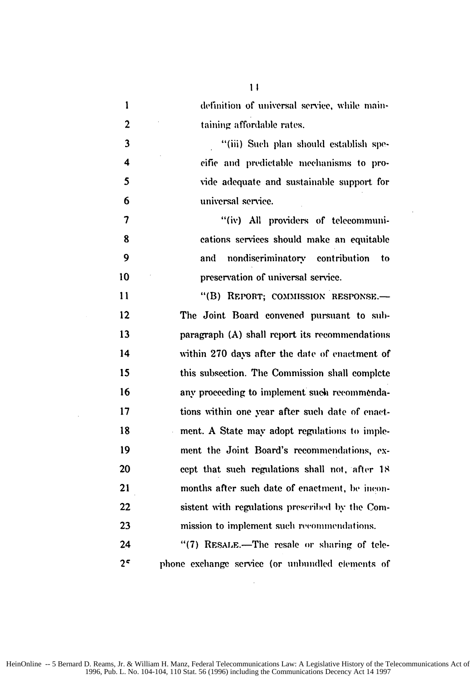| $\mathbf{I}$            | definition of universal service, while main-     |
|-------------------------|--------------------------------------------------|
| $\overline{2}$          | taining affordable rates.                        |
| 3                       | "(iii) Such plan should establish spe-           |
| $\overline{\mathbf{4}}$ | cific and predictable mechanisms to pro-         |
| 5                       | vide adequate and sustainable support for        |
| 6                       | universal service.                               |
| 7                       | "(iv) All providers of telecommuni-              |
| 8                       | cations services should make an equitable        |
| 9                       | nondiscriminatory contribution to<br>and         |
| 10                      | preservation of universal service.               |
| 11                      | "(B) REPORT; COMMISSION RESPONSE.-               |
| 12                      | The Joint Board convened pursuant to sub-        |
| 13                      | paragraph (A) shall report its recommendations   |
| 14                      | within 270 days after the date of enactment of   |
| 15                      | this subsection. The Commission shall complete   |
| 16                      | any proceeding to implement such recommenda-     |
| 17                      | tions within one year after such date of enact-  |
| 18                      | ment. A State may adopt regulations to imple-    |
| 19                      | ment the Joint Board's recommendations, ex-      |
| 20                      | cept that such regulations shall not, after 18   |
| 21                      | months after such date of enactment, be incon-   |
| 22                      | sistent with regulations prescribed by the Com-  |
| 23                      | mission to implement such recommendations.       |
| 24                      | "(7) RESALE.-The resale or sharing of tele-      |
| 2 <sup>5</sup>          | phone exchange service (or unbundled elements of |

 $\sim$   $\sim$ 

 $\mathbb{R}^2$ 

 $11$ 

 $\sim 10$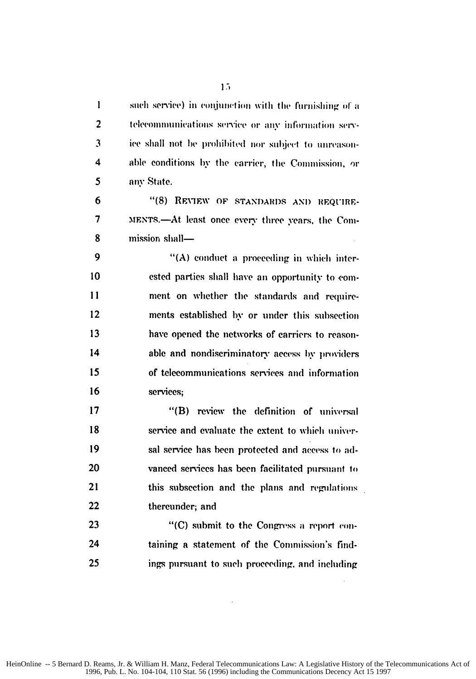| 1              | such service) in conjunction with the furnishing of a |
|----------------|-------------------------------------------------------|
| $\overline{2}$ | telecommunications service or any information serv-   |
| 3              | ice shall not be prohibited nor subject to unreason-  |
| 4              | able conditions by the carrier, the Commission, or    |
| 5              | any State.                                            |
| 6              | "(8) REVIEW OF STANDARDS AND REQUIRE-                 |
| 7              | MENTS.-At least once every three years, the Com-      |
| 8              | mission shall-                                        |
| 9              | "(A) conduct a proceeding in which inter-             |
| 10             | ested parties shall have an opportunity to com-       |
| 11             | ment on whether the standards and require-            |
| 12             | ments established by or under this subsection         |
| 13             | have opened the networks of carriers to reason-       |
| 14             | able and nondiscriminatory access by providers        |
| 15             | of telecommunications services and information        |
| 16             | services;                                             |
| 17             | "(B) review the definition of universal               |
| 18             | service and evaluate the extent to which univer-      |
| 19             | sal service has been protected and access to ad-      |
| 20             | vanced services has been facilitated pursuant to      |
| 21             | this subsection and the plans and regulations         |
| 22             | thereunder; and                                       |
| 23             | "(C) submit to the Congress a report con-             |
| 24             | taining a statement of the Commission's find-         |
| 25             | ings pursuant to such proceeding, and including       |

l.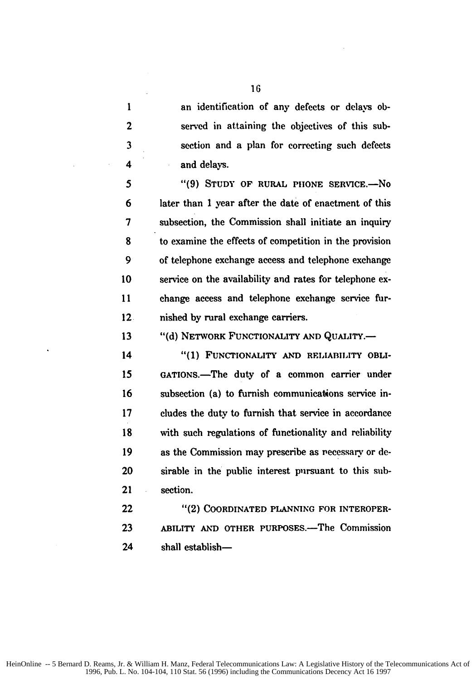**1** an identification of any defects or delays ob-2 served in attaining the objectives of this sub-3 section and a plan for correcting such defects 4 and delays. *5* **"(9) STUDY** OF RURAL **PHONE** SERVICE.-No 6 later than **1** year after the date of enactment of this **7** subsection, the Commission shall initiate an inquiry **8** to examine the effects of competition in the provision 9 of telephone exchange access and telephone exchange **10** service on the availability and rates for telephone ex-**11** change access and telephone exchange service fur-12 nished by rural exchange carriers. 13 **"(d)** NETWORK FUNCTIONALITY **AND QUALITY.-**

**"(1) FUNCTIONALITY** AND RELIABILITY OBLI-15 GATIONS.-The duty of a common carrier under subsection (a) to furnish communications service in-cludes the duty to furnish that service in accordance with such regulations of functionality and reliability as the Commission may prescribe as necessary or **de-**20 sirable in the public interest pursuant to this sub-21 section.

22 "(2) **COORDINATED PLANNING** FOR INTEROPER-**23** ABILITY **AND** OTHER PURPOSES.-The Commission 24 shall establish—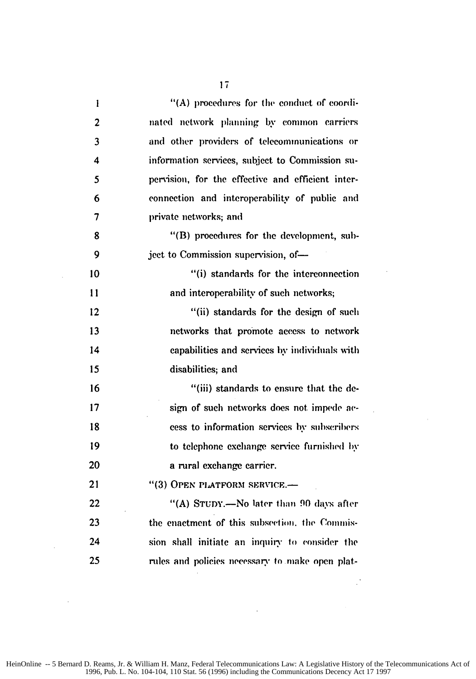| ı                       | "(A) procedures for the conduct of coordi-        |
|-------------------------|---------------------------------------------------|
| 2                       | nated network planning by common carriers         |
| 3                       | and other providers of telecommunications or      |
| $\overline{\mathbf{4}}$ | information services, subject to Commission su-   |
| 5                       | pervision, for the effective and efficient inter- |
| 6                       | connection and interoperability of public and     |
| 7                       | private networks; and                             |
| 8                       | "(B) procedures for the development, sub-         |
| 9                       | ject to Commission supervision, of-               |
| 10                      | "(i) standards for the interconnection            |
| 11                      | and interoperability of such networks;            |
| 12                      | "(ii) standards for the design of such            |
| 13                      | networks that promote access to network           |
| 14                      | capabilities and services by individuals with     |
| 15                      | disabilities; and                                 |
| 16                      | "(iii) standards to ensure that the de-           |
| 17                      | sign of such networks does not impede ac-         |
| 18                      | cess to information services by subscribers       |
| 19                      | to telephone exchange service furnished by        |
| 20                      | a rural exchange carrier.                         |
| 21                      | "(3) OPEN PLATFORM SERVICE.-                      |
| 22                      | "(A) STUDY.—No later than 90 days after           |
| 23                      | the enactment of this subsection, the Commis-     |
| 24                      | sion shall initiate an inquiry to consider the    |
| 25                      | rules and policies necessary to make open plat-   |

 $\bar{\omega}$ 

÷.

 $\overline{a}$ 

 $\ddot{\phantom{a}}$ 

 $\hat{\mathcal{A}}$ 

 $\mathbb{R}^2$ 

**17**

 $\ddot{\phantom{a}}$ 

 $\sim$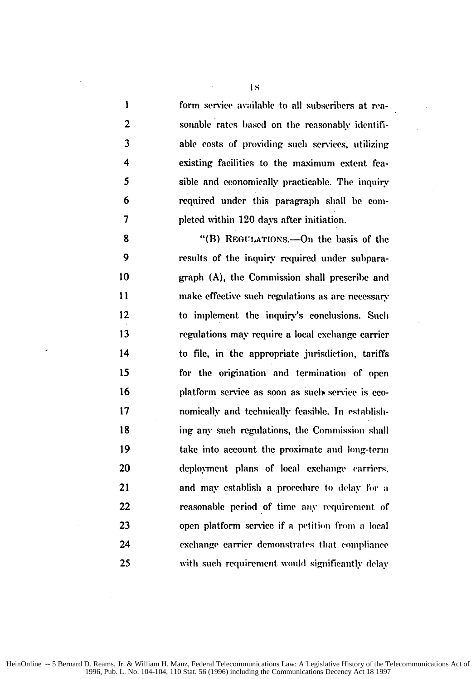**I form** service available to all subscribers at rea-2 sonable rates based on the reasonably identifi-3 able costs of providing such services, utilizing 4 existing facilities to the maximum extent fea-5 sible and economically practicable. The inquiry 6 required under this paragraph shall **be** com-7 **pleted within 120 days after initiation.** 

**8** "(B) REGuATIONs.-On the basis of the 9 results of the inquiry required under subpara-10 graph **(A),** the Commission shall prescribe and 11 make effective such regulations as arc necessary 12 to implement the inquiry's conclusions. Such 13 regulations may require a local exchange carrier 14 to file, in the appropriate jurisdiction, tariffs 15 for the origination and termination of open 16 **platform service as soon as such service is eco-**17 nomically and technically feasible. In establish-18 ing any such regulations, the Commission shall 19 take into account the proximate and long-terin 20 deployment plans of local exchange carriers, 21 and may establish a procedure to delay for a 22 reasonable period of time any requirement of 23 open platform service if a petition from a local 24 exchange carrier demonstrates that compliance 25 with such requirement would significantly delay

HeinOnline -- 5 Bernard D. Reams, Jr. & William H. Manz, Federal Telecommunications Law: A Legislative History of the Telecommunications Act of 1996, Pub. L. No. 104-104, 110 Stat. 56 (1996) including the Communications Decency Act 18 1997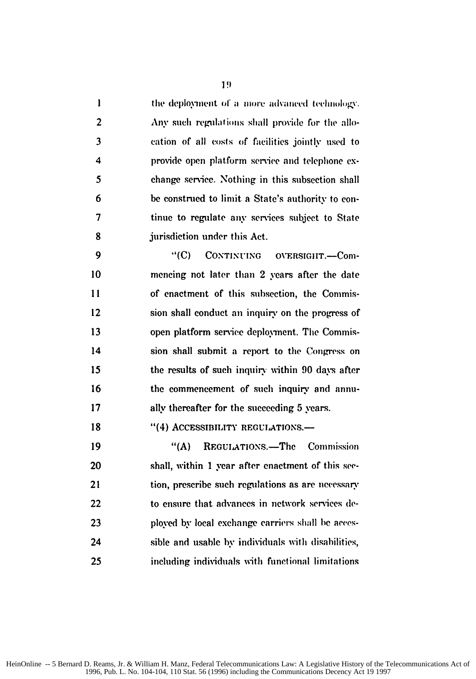| $\mathbf{I}$            | the deployment of a more advanced technology.          |
|-------------------------|--------------------------------------------------------|
| $\overline{2}$          | Any such regulations shall provide for the allo-       |
| 3                       | cation of all costs of facilities jointly used to      |
| $\overline{\mathbf{4}}$ | provide open platform service and telephone ex-        |
| 5                       | change service. Nothing in this subsection shall       |
| 6                       | be construed to limit a State's authority to con-      |
| 7                       | tinue to regulate any services subject to State        |
| 8                       | jurisdiction under this Act.                           |
| 9                       | $\cdot$ <sup>"</sup> (C)<br>CONTINUING OVERSIGHT.-Com- |
| 10                      | mencing not later than 2 years after the date          |
| 11                      | of enactment of this subsection, the Commis-           |
| 12                      | sion shall conduct an inquiry on the progress of       |
| 13                      | open platform service deployment. The Commis-          |
| 14                      | sion shall submit a report to the Congress on          |
| 15                      | the results of such inquiry within 90 days after       |
| 16                      | the commencement of such inquiry and annu-             |
| 17                      | ally thereafter for the succeeding 5 years.            |
| 18                      | "(4) ACCESSIBILITY REGULATIONS.-                       |
| 19                      | "(A) REGULATIONS.-The Commission                       |
| 20                      | shall, within 1 year after enactment of this sec-      |
| 21                      | tion, prescribe such regulations as are necessary      |
| 22                      | to ensure that advances in network services de-        |
| 23                      | ployed by local exchange carriers shall be acces-      |
| 24                      | sible and usable by individuals with disabilities,     |
| 25                      | including individuals with functional limitations      |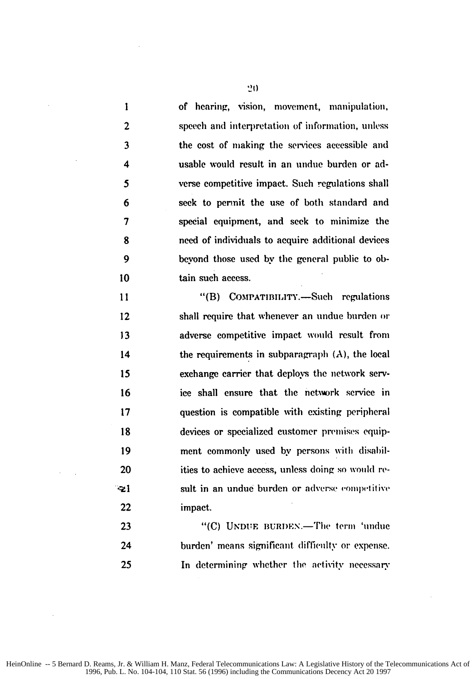1 of hearing, vision, movement, manipulation, 2 speech and interpretation of information, unless 3 the cost of making the services accessible and 4 usable would result in an undue burden or ad-*5* verse competitive impact. Such regulations shall 6 seek to permit the use of both standard and 7 special equipment, and seek to minimize the 8 need of individuals to acquire additional devices 9 beyond those used by the general public to **ob-10 tain** such access. 11 "(B) COMPATIBILITY.—Such regulations 12 shall require that whenever an undue burden or 13 adverse competitive impact would result from 14 the requirements in subparagraph  $(A)$ , the local 15 exchange carrier that deploys the network serv-16 ice shall ensure that the network service in 17 question is compatible xith existing peripheral 18 devices or specialized customer premises equip-19 ment commonly used by persons with disahil-20 ities to achieve access, unless doing so would re-**21 suit in an undue burden or adverse competitive** 

22 impact.

23 "(C) UNDUE BURDEN.—The term 'undue 24 burden' means significant difficulty or expense. 25 **In determining whether the activity necessary** 

21)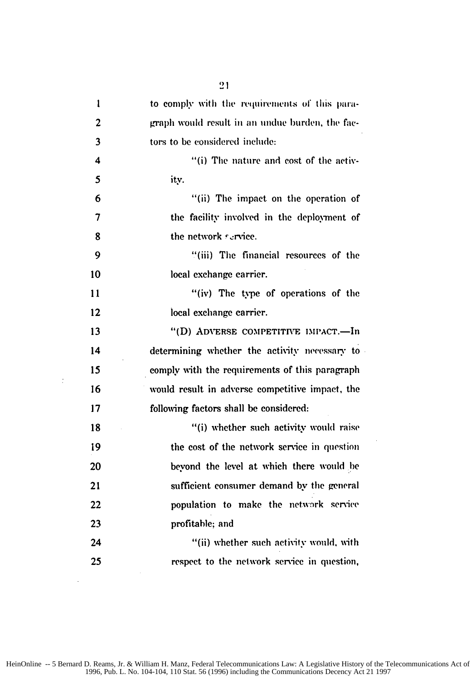| $\mathbf{1}$            | to comply with the requirements of this para-   |
|-------------------------|-------------------------------------------------|
| $\overline{2}$          | graph would result in an undue burden, the fac- |
| 3                       | tors to be considered include:                  |
| $\overline{\mathbf{4}}$ | "(i) The nature and cost of the activ-          |
| 5                       | ity.                                            |
| 6                       | "(ii) The impact on the operation of            |
| 7                       | the facility involved in the deployment of      |
| 8                       | the network service.                            |
| 9                       | "(iii) The financial resources of the           |
| 10                      | local exchange carrier.                         |
| 11                      | "(iv) The type of operations of the             |
| 12                      | local exchange carrier.                         |
| 13                      | "(D) ADVERSE COMPETITIVE IMPACT.—In             |
| 14                      | determining whether the activity necessary to   |
| 15                      | comply with the requirements of this paragraph  |
| 16                      | would result in adverse competitive impact, the |
| 17                      | following factors shall be considered:          |
| 18                      | "(i) whether such activity would raise          |
| 19                      | the cost of the network service in question     |
| 20                      | beyond the level at which there would be        |
| 21                      | sufficient consumer demand by the general       |
| 22                      | population to make the network service          |
| 23                      | profitable; and                                 |
| 24                      | "(ii) whether such activity would, with         |
| 25                      | respect to the network service in question,     |

 $\sim$ 

 $\sim$   $\pm$ 

 $\mathbb{Z}$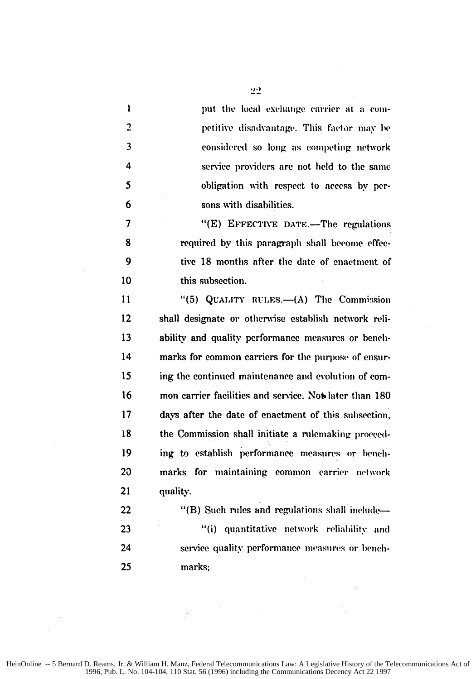| l                       | put the local exchange carrier at a com-               |
|-------------------------|--------------------------------------------------------|
| $\overline{c}$          | petitive disadvantage. This factor may be              |
| $\overline{\mathbf{3}}$ | considered so long as competing network                |
| 4                       | service providers are not held to the same             |
| 5                       | obligation with respect to access by per-              |
| 6                       | sons with disabilities.                                |
| 7                       | "(E) EFFECTIVE DATE.—The regulations                   |
| 8                       | required by this paragraph shall become effec-         |
| 9                       | tive 18 months after the date of enactment of          |
| 10                      | this subsection.                                       |
| 11                      | "(5) QUALITY RULES.— $(A)$ The Commission              |
| 12                      | shall designate or otherwise establish network reli-   |
| 13                      | ability and quality performance measures or bench-     |
| 14                      | marks for common carriers for the purpose of ensur-    |
| 15                      | ing the continued maintenance and evolution of com-    |
| 16                      | mon carrier facilities and service. Not later than 180 |
| 17                      | days after the date of enactment of this subsection,   |
| 18                      | the Commission shall initiate a rulemaking proceed-    |
| 19                      | ing to establish performance measures or bench-        |
| 20                      | marks for maintaining common carrier network           |
| 21                      | quality.                                               |
| 22                      | "(B) Such rules and regulations shall include-         |
| 23                      | "(i) quantitative network reliability and              |
| 24                      | service quality performance measures or bench-         |
| 25                      | marks;                                                 |

 $\sim$ 

 $\sim$ 

 $\sim$ 

 $\hat{\boldsymbol{\beta}}$ 

HeinOnline -- 5 Bernard D. Reams, Jr. & William H. Manz, Federal Telecommunications Law: A Legislative History of the Telecommunications Act of 1996, Pub. L. No. 104-104, 110 Stat. 56 (1996) including the Communications Decency Act 22 1997

 $\mathbb{R}^2$ 

 $\sim$   $\sim$ 

 $\frac{1}{2}$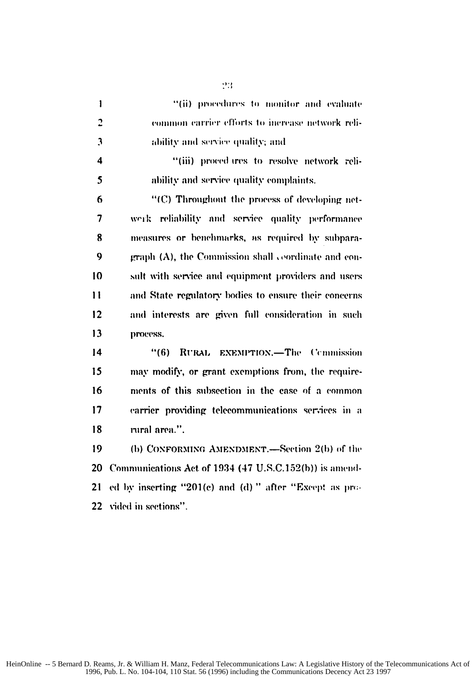| 1                       | "(ii) procedures to monitor and evaluate               |
|-------------------------|--------------------------------------------------------|
| $\ddot{\mathbf{c}}$     | common carrier efforts to increase network reli-       |
| 3                       | ability and service quality; and                       |
| 4                       | "(iii) proced tres to resolve network reli-            |
| 5                       | ability and service quality complaints.                |
| 6                       | "(C) Throughout the process of developing net-         |
| $\overline{\mathbf{z}}$ | werk reliability and service quality performance       |
| 8                       | measures or benchmarks, as required by subpara-        |
| 9                       | graph (A), the Commission shall coordinate and con-    |
| 10                      | sult with service and equipment providers and users    |
| $\mathbf{1}$            | and State regulatory bodies to ensure their concerns   |
| 12                      | and interests are given full consideration in such     |
| 13                      | process.                                               |
| 14                      | "(6) RURAL EXEMPTION.—The Commission                   |
| 15                      | may modify, or grant exemptions from, the require-     |
| 16                      | ments of this subsection in the case of a common       |
| 17                      | carrier providing telecommunications services in a     |
| 18                      | rural area.".                                          |
| 19                      | (b) CONFORMING AMENDMENT.—Section 2(b) of the          |
| 20                      | Communications Act of 1934 (47 U.S.C.152(b)) is amend- |
| 21                      | ed by inserting "201(c) and (d)" after "Except as pro- |
|                         | 22 vided in sections".                                 |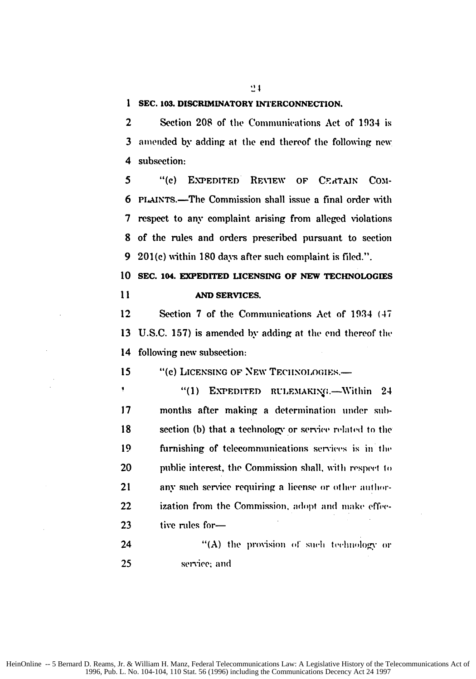### **1 SEC. 103. DISCRMINATORY INTERCONNECTION.**

2 Section **208** of the Communications Act of 1934 is 3 amended by adding at the end thereof the follouing new 4 subsection:

5 "(c) EXPEDITED REvIEW OF CERTAIN **COM-**6 PLAINTS.-The Commission shall issue a final order with 7 respect to any complaint arising from alleged violations 8 of the rules and orders prescribed pursuant to section 9 201(c) within 180 days after such complaint is filed.".

# **10 SEC. 104. EXPEDITED LICENSING OF NEW TECHNOLOGIES 11 AND SERVICES.**

**12** Section **7** of the Communications Act of 1934 (47 13 U.S.C. 157) is amended by adding at the end thereof the 14 following new subsection:

## 15 "(e) LICENSING OF NEW TECHNOLOGIES.-

<sup>1</sup> "(1) EXPEDITED RULEMAKING.—Within 24 17 months after making a determination under sub-**18 section** (b) that a technology or service related to the 19 **furnishing of telecommunications services is in the** 20 public interest, the Commission shall, with respet **Io** 21 any such service requiring a license or other aulhor-22 ization from the Commission, adopt and make effec-23 tive rules for-

24 "(A) the provision of such technology or 25 service; and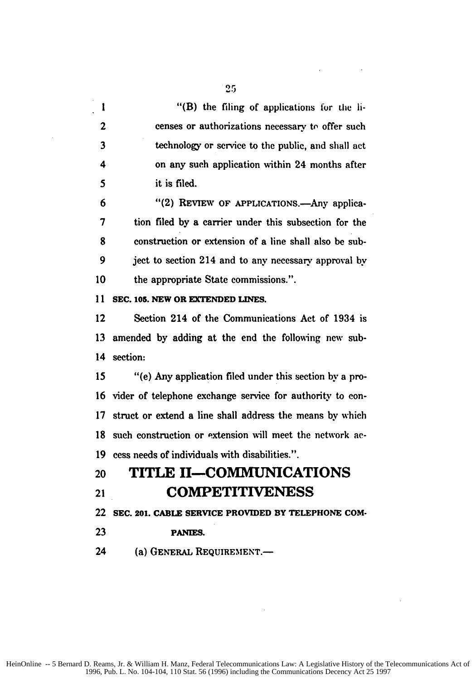| 1  | "(B) the filing of applications for the li-               |
|----|-----------------------------------------------------------|
| 2  | censes or authorizations necessary to offer such          |
| 3  | technology or service to the public, and shall act        |
| 4  | on any such application within 24 months after            |
| 5  | it is filed.                                              |
| 6  | "(2) REVIEW OF APPLICATIONS.-Any applica-                 |
| 7  | tion filed by a carrier under this subsection for the     |
| 8  | construction or extension of a line shall also be sub-    |
| 9  | ject to section 214 and to any necessary approval by      |
| 10 | the appropriate State commissions.".                      |
| 11 | SEC. 105. NEW OR EXTENDED LINES.                          |
| 12 | Section 214 of the Communications Act of 1934 is          |
| 13 | amended by adding at the end the following new sub-       |
| 14 | section:                                                  |
| 15 | "(e) Any application filed under this section by a pro-   |
| 16 | vider of telephone exchange service for authority to con- |
| 17 | struct or extend a line shall address the means by which  |
| 18 | such construction or extension will meet the network ac-  |
| 19 | cess needs of individuals with disabilities.".            |
| 20 | <b>TITLE II-COMMUNICATIONS</b>                            |
| 21 | <b>COMPETITIVENESS</b>                                    |
| 22 | SEC. 201. CABLE SERVICE PROVIDED BY TELEPHONE COM-        |
| 23 | PANTES.                                                   |
| 24 | (a) GENERAL REQUIREMENT.-                                 |

 $\sim$ 

 $\mathcal{L}(\mathcal{A})$  and  $\mathcal{L}(\mathcal{A})$  .

 $\hat{\mathcal{A}}$ 

 $\bar{\lambda}$ 

 $\bar{z}$ 

 $\sim 10^{-1}$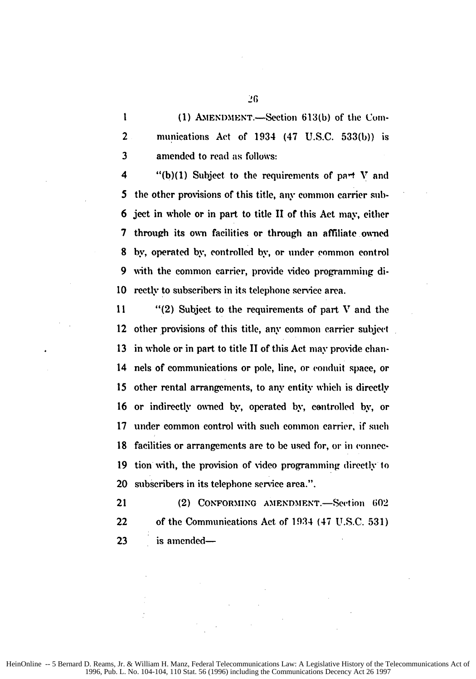1 (1) AMENDMENT.—Section 613(b) of the Com-2 munications Act of 1934 (47 U.S.C. 533(b)) is 3 amended to read as follows:

4 "(b)(1) Subject to the requirements of part V and **5** the other provisions of this title, any common carrier sub-**6 ject** in whole or in part to title II of this Act may, either **7** through its own facilities or through an affiliate owned **8** *by,* operated by, controlled by, or under common control 9 with the common carrier, provide video programming di-**10** reetly to subscribers in its telephone service area.

11 "(2) Subject to the requirements of part V and the 12 other provisions of this title, any common carrier subject 13 in whole or in part to title II of this Act may provide chan-14 nels of communications or pole, line, or conduit space, or **15** other rental arrangements, to any entity which is directly 16 or indirectly owned by, operated by, entrolled by, or **17** under common control with such common carrier, if such **18** facilities or arrangements are to be used for, or in connec-19 tion with, the provision of video programming directly to 20 subscribers in its telephone service area.".

21 (2) CONFORMING AMENDMENT.-Section 602 22 of the Communications Act of 1934 (47 U.S.C. 531) 23 is amended—

26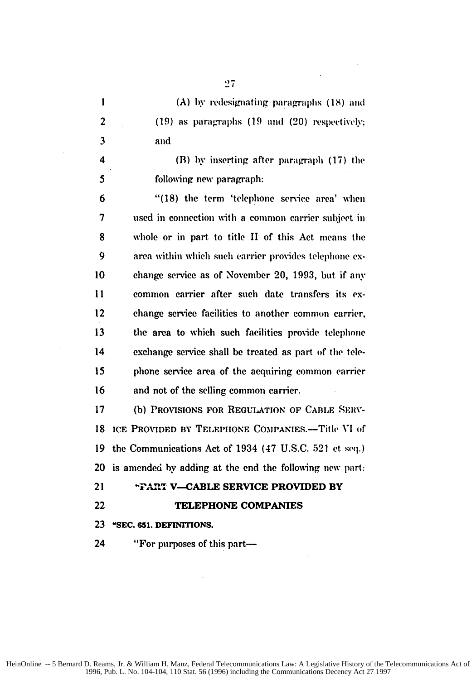| 1              | (A) by redesignating paragraphs (18) and                |
|----------------|---------------------------------------------------------|
| $\overline{2}$ | (19) as paragraphs (19 and (20) respectively;           |
| 3              | and                                                     |
| 4              | (B) by inserting after paragraph (17) the               |
| 5              | following new paragraph:                                |
| 6              | "(18) the term 'telephone service area' when            |
| 7              | used in connection with a common carrier subject in     |
| 8              | whole or in part to title II of this Act means the      |
| 9              | area within which such carrier provides telephone ex-   |
| 10             | change service as of November 20, 1993, but if any      |
| 11             | common carrier after such date transfers its ex-        |
| 12             | change service facilities to another common carrier,    |
| 13             | the area to which such facilities provide telephone     |
| 14             | exchange service shall be treated as part of the tele-  |
| 15             | phone service area of the acquiring common carrier      |
| 16             | and not of the selling common carrier.                  |
| 17             | (b) PROVISIONS FOR REGULATION OF CABLE SERV-            |
| 18             | ICE PROVIDED BY TELEPHONE COMPANIES.-Title VI of        |
| 19             | the Communications Act of 1934 (47 U.S.C. 521 et seq.)  |
| 20             | is amended by adding at the end the following new part: |
| 21             | "FART V-CABLE SERVICE PROVIDED BY                       |
| 22             | <b>TELEPHONE COMPANIES</b>                              |
| 23             | "SEC. 651. DEFINITIONS.                                 |
| 24             | "For purposes of this part-                             |

 $\sim$ 

 $\sim$   $\sim$ 

 $\bar{z}$ 

l,

 $\sim$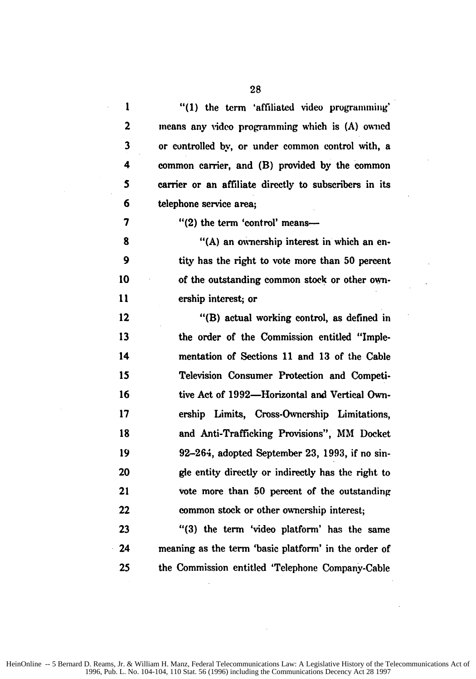| 1  | "(1) the term 'affiliated video programming'           |
|----|--------------------------------------------------------|
| 2  | means any video programming which is (A) owned         |
| 3  | or controlled by, or under common control with, a      |
| 4  | common carrier, and (B) provided by the common         |
| 5  | carrier or an affiliate directly to subscribers in its |
| 6  | telephone service area;                                |
| 7  | "(2) the term 'control' means-                         |
| 8  | "(A) an ownership interest in which an en-             |
| 9  | tity has the right to vote more than 50 percent        |
| 10 | of the outstanding common stock or other own-          |
| 11 | ership interest; or                                    |
| 12 | "(B) actual working control, as defined in             |
| 13 | the order of the Commission entitled "Imple-           |
| 14 | mentation of Sections 11 and 13 of the Cable           |
| 15 | Television Consumer Protection and Competi-            |
| 16 | tive Act of 1992—Horizontal and Vertical Own-          |
| 17 | ership Limits, Cross-Ownership Limitations,            |
| 18 | and Anti-Trafficking Provisions", MM Docket            |
| 19 | 92-264, adopted September 23, 1993, if no sin-         |
| 20 | gle entity directly or indirectly has the right to     |
| 21 | vote more than 50 percent of the outstanding           |
| 22 | common stock or other ownership interest;              |
| 23 | "(3) the term 'video platform' has the same            |
| 24 | meaning as the term 'basic platform' in the order of   |
| 25 | the Commission entitled 'Telephone Company-Cable       |

 $\mathcal{L}_{\mathcal{A}}$ 

 $\sim$ 

 $\ddot{\phantom{a}}$ 

**28**

 $\sim$ 

 $\sim$ 

 $\sim$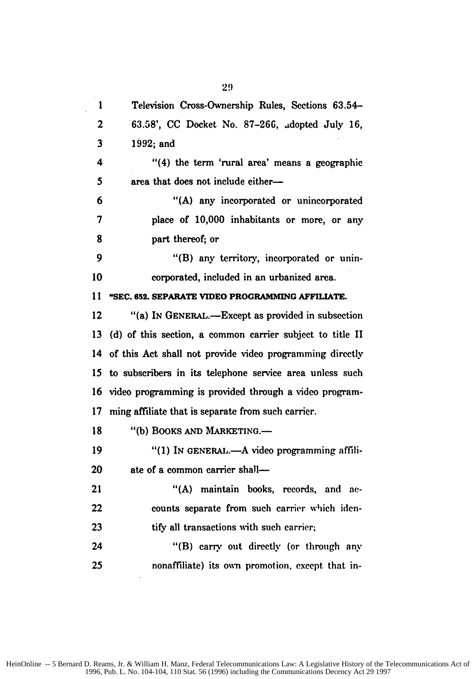| 1  | Television Cross-Ownership Rules, Sections 63.54-         |
|----|-----------------------------------------------------------|
| 2  | 63.58', CC Docket No. 87-266, adopted July 16,            |
| 3  | $1992$ ; and                                              |
| 4  | "(4) the term 'rural area' means a geographic             |
| 5  | area that does not include either-                        |
| 6  | "(A) any incorporated or unincorporated                   |
| 7  | place of 10,000 inhabitants or more, or any               |
| 8  | part thereof; or                                          |
| 9  | "(B) any territory, incorporated or unin-                 |
| 10 | corporated, included in an urbanized area.                |
| 11 | "SEC. 652. SEPARATE VIDEO PROGRAMMING AFFILIATE.          |
| 12 | "(a) IN GENERAL.—Except as provided in subsection         |
| 13 | (d) of this section, a common carrier subject to title II |
| 14 | of this Act shall not provide video programming directly  |
| 15 | to subscribers in its telephone service area unless such  |
| 16 | video programming is provided through a video program-    |
| 17 | ming affiliate that is separate from such carrier.        |
| 18 | "(b) BOOKS AND MARKETING.-                                |
| 19 | "(1) IN GENERAL.—A video programming affili-              |
| 20 | ate of a common carrier shall-                            |
| 21 | "(A) maintain books, records, and ac-                     |
| 22 | counts separate from such carrier which iden-             |
| 23 | tify all transactions with such carrier;                  |
| 24 | "(B) carry out directly (or through any                   |
| 25 | nonaffiliate) its own promotion, except that in-          |

 $\ddot{\phantom{a}}$ 

 $\bar{z}$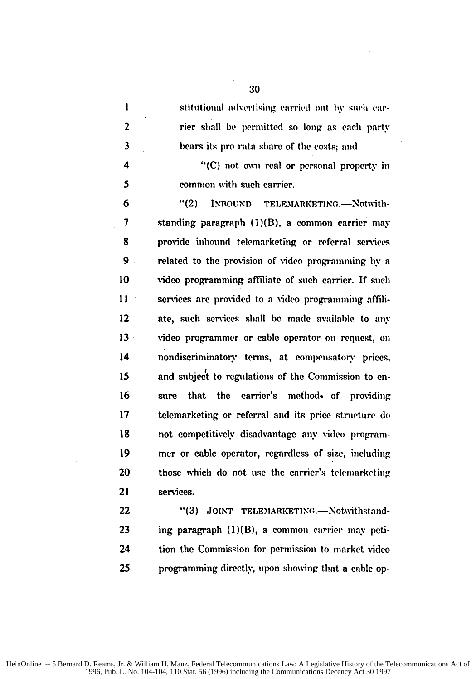**stitutional advertising carried out. by such car-rier** shall be permitted so long as each party 3 bears its pro rata share of the costs; and **"(C)** not own real or personal property **in** common with such carrier. "(2) **INBOUND TELEMARKETING.**-Notwith-standing paragraph (1)(B), a common carrier may provide inbound telemarketing or referral services related to the provision of video programming by a video programming affiliate of such carrier. **If** such **Services are provided to a video programming affili-**12 ate, such services shall be made available to any video programmer or cable operator on request, on 14 nondiscriminatory terms, at compensatory prices, **and subject to regulations of the Commission to en-**16 sure that the carrier's method of providing telemarketing or referral and its price stncture **do** not competitively disadvantage any video program-mer or cable operator, regardless of size, including 20 those which do not use the carrier's telemarketing 21 services. 22 "(3) JOINT TELEMARKETING.-Notwithstand-

ing paragraph (1)(B), a common carrier inay peti-24 tion the Commission for permission to market video 25 programming directly, upon showing that a cable op-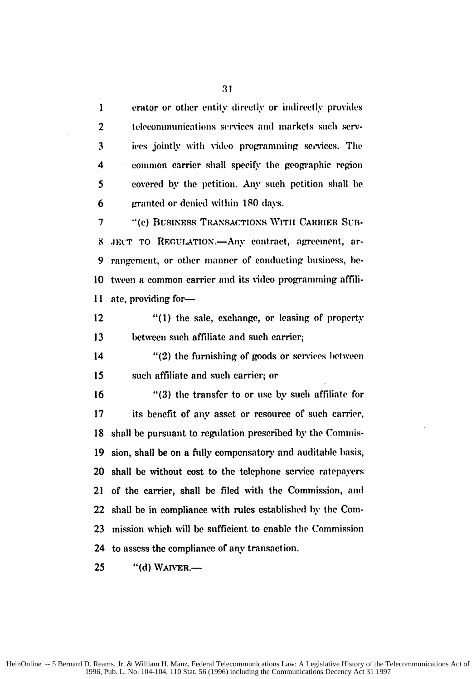1 crator or other entity directly or indircetly provides 2 telecommunications services **and** markets such serv-**3** ices jointly with xideo progranming services. Tile 4 common carrier shall specify the geographic region 5 covered by the petition. Any such petition shall be 6 frranted or denied within **180** da's. **7** "(c) BUSINE-SS **TRANSACTIONS** WITH CARRIER **SUB-8** .JECT TO REGUIATION.-Any contract, agreement, ar-9 rangement, or other manner of conducting business, **be-10** tween a common carrier and its video programming affili-11 ate, providing for-12 "(1) the sale, exchange, or leasing of property 13 between such affiliate and such carrier; 14 "(2) the furnishing of goods or services between 15 such affiliate and such carrier; or 16 "(3) the transfer to or use by such affiliate for 17 its benefit of any asset or resource of such carrier, **18** shall be pursuant to regulation prescribed by the Connis-19 sion, shall be on a fully compensatory and auditable basis, 20 shall be without cost to the telephone service ratepayers 21 of the carrier, shall be filed with the Commission, and 22 shall be in compliance with rules established **by** the Com-23 mission which will be sufficient to enable the Commission 24 to assess the compliance of any transaction. 25 "(d) **WAIVER.**-

31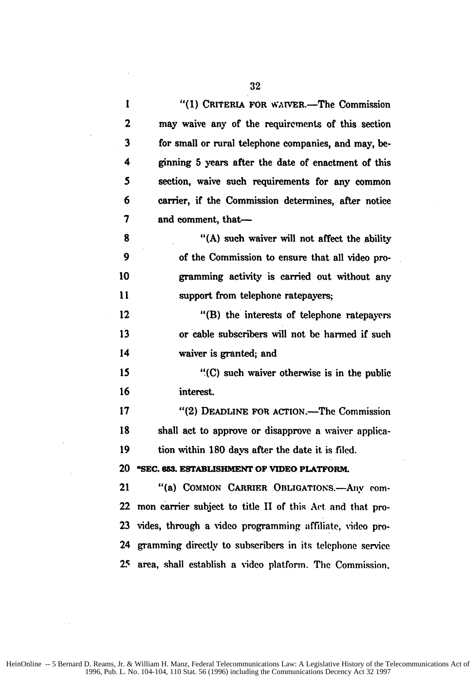| $\mathbf{I}$ | "(1) CRITERLA FOR WAIVER.-The Commission                  |
|--------------|-----------------------------------------------------------|
| $\mathbf{2}$ | may waive any of the requirements of this section         |
| 3            | for small or rural telephone companies, and may, be-      |
| 4            | ginning 5 years after the date of enactment of this       |
| 5            | section, waive such requirements for any common           |
| 6            | carrier, if the Commission determines, after notice       |
| 7            | and comment, that-                                        |
| 8            | "(A) such waiver will not affect the ability              |
| 9            | of the Commission to ensure that all video pro-           |
| 10           | gramming activity is carried out without any              |
| 11           | support from telephone ratepayers;                        |
| 12           | "(B) the interests of telephone ratepayers                |
| 13           | or cable subscribers will not be harmed if such           |
| 14           | waiver is granted; and                                    |
| 15           | "(C) such waiver otherwise is in the public               |
| 16           | interest.                                                 |
| 17           | "(2) DEADLINE FOR ACTION.—The Commission                  |
| 18           | shall act to approve or disapprove a waiver applica-      |
| 19           | tion within 180 days after the date it is filed.          |
| 20           | "SEC. 653. ESTABLISHMENT OF VIDEO PLATFORM.               |
| 21           | "(a) COMMON CARRIER OBLIGATIONS.-Any com-                 |
| 22           | mon carrier subject to title II of this Act and that pro- |
| 23           | vides, through a video programming affiliate, video pro-  |
| 24           | gramming directly to subscribers in its telephone service |
| 25           | area, shall establish a video platform. The Commission,   |

 $\ddot{\phantom{a}}$ 

 $\overline{a}$ 

 $\bar{z}$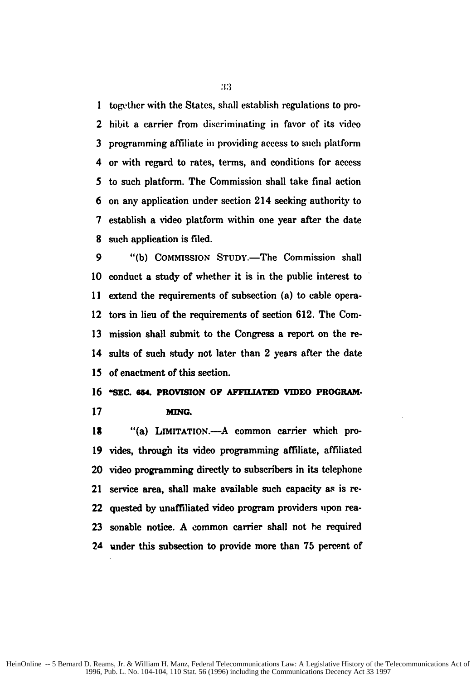**1** together with the States, shall establish regulations to pro-2 hibit a carrier from discriminating in favor of its video 3 programming affiliate in providing access to such platform 4 or with regard to rates, terms, and conditions for access **5** to such platform. The Commission shall take final action 6 on any application under section 214 seeking authority to 7 establish a video platform within one year after the date **8** such application is filed.

9 "(b) COMMISSION STUDY.-The Commission shall **10** conduct a study of whether it is in the public interest to 11 extend the requirements of subsection (a) to cable opera-12 tors in lieu of the requirements of section 612. The Com-**13** mission shall submit to the Congress a report on the re-14 sults of such study not later than 2 years after the date **15** of enactment of this section.

16 **\*SEC. 654. PROVISION OF AFFILIATED VMEO PROGRAM** 17 **rMIG.**

18 "(a) LIMITATION.-A common carrier which pro-19 vides, through its video programming affiliate, affiliated 20 video programming directly to subscribers in its telephone 21 service area, shall make available such capacity as is re-22 **quested by** unaffiliated video program providers **upon** rea-**23** sonablc notice. **A** common carrier shall not he required 24 under this subsection to provide more than **75** percent of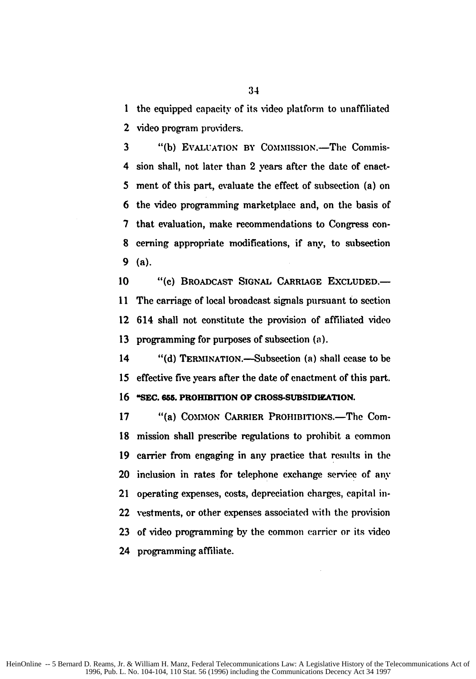1 the equipped capacity of its video platform to unaffiliated 2 video program providers.

**3** "(b) EVALUATION BY COMMISSION.-The Commis-4 sion shall, not later than 2 years after the date of enact-**5** ment of this part, evaluate the effect of subsection (a) on 6 the video programming marketplace and, on the basis of 7 that evaluation, make recommendations to Congress con-**8** cerning appropriate modifications, if any, to subsection **9** (a).

10 "(c) BROADCAST SIGNAL CARRIAGE EXCLUDED.-**11** The carriage of local broadcast signals pursuant to section 12 614 shall not constitute the provision of affiliated video **13** programming for purposes of subsection (a).

14 **"(d)** TERMINATION.---Subsection (a) shall cease to be **15** effective five years after the date of enactment of this part. **16 "SEC. 655.** PROHIBITION **OF CROSS-SUBSIDIZATION.**

**17** "(a) **COMMON** CARRIER PROHIBITIONS.-The Cor-**18** mission shall prescribe regulations to prohibit a common 19 carrier from engaging in any practice that results in the 20 inclusion in rates for telephone exchange service of any 21 operating expenses, costs, depreciation charges, capital in-22 vestments, or other expenses associated with the provision **23** of video programming by the common carrier or its video 24 programming affiliate.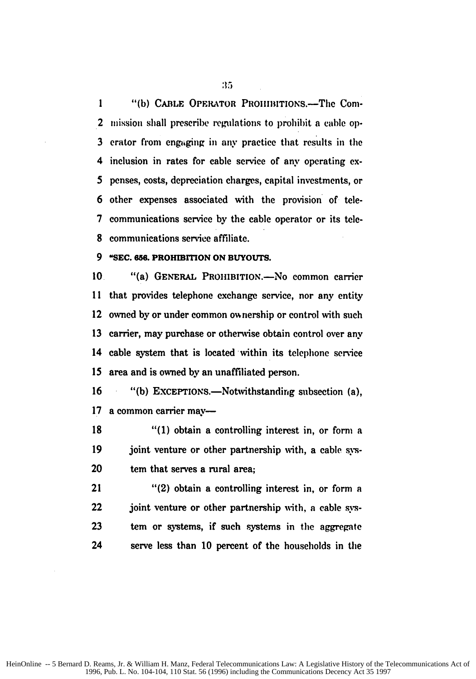1 "(b) CABLE OPERATOR PROHIBITIONS.—The Com-2 mission shall prescribe regulations to prohibit a cable op-3 erator from engaging in any practice that results in the 4 inclusion in rates for cable service of any operating ex-5 pcnses, costs, depreciation charges, capital investments, or 6 other expenses associated with the provision of tele-**7** communications service **by** the cable operator or its tele-**8** communications service affiliate.

**9 "SEC. 656. PROHIBITION ON BUYOUTS.** 

"(a) **GENERAL** PROIIIBITION.-No common carrier that provides telephone exchange service, nor any entity 12 owned **by** or under common ownership or control with such carrier, may purchase or otherwise obtain control over any 14 cable system that is located within its telephone service area and is owned **by** an unaffiliated person.

16 "(b) EXCEPTIONS.—Notwithstanding subsection (a), 17 a common carrier may-

**18 "(1)** obtain a controlling interest in, or form a **19** joint venture or other partnership with, a cable **sys-**20 tem that serves a rural area;

21 "(2) obtain a controlling interest in, or form a 22 joint venture or other partnership with, a cable sys-23 tem or systems, if such systems in **the** aggregate 24 serve less than 10 percent of the households in the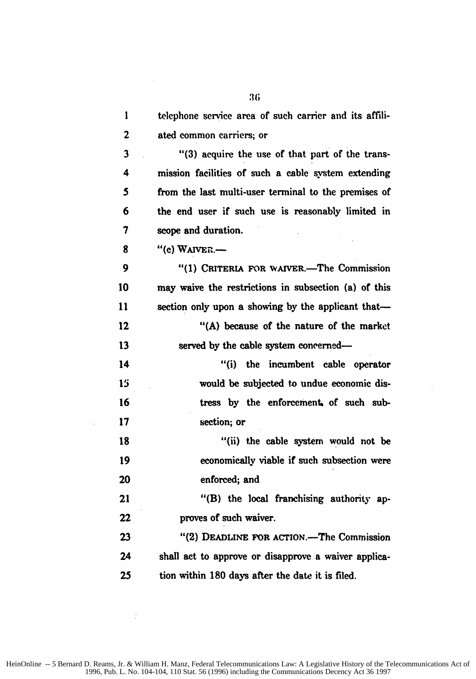| 1  | telephone service area of such carrier and its affili- |
|----|--------------------------------------------------------|
| 2  | ated common carriers; or                               |
| 3  | "(3) acquire the use of that part of the trans-        |
| 4  | mission facilities of such a cable system extending    |
| 5  | from the last multi-user terminal to the premises of   |
| 6  | the end user if such use is reasonably limited in      |
| 7  | scope and duration.                                    |
| 8  | "(c) $WAVER$ —                                         |
| 9  | "(1) CRITERIA FOR WAIVER.—The Commission               |
| 10 | may waive the restrictions in subsection (a) of this   |
| 11 | section only upon a showing by the applicant that-     |
| 12 | "(A) because of the nature of the market               |
| 13 | served by the cable system concerned—                  |
| 14 | "(i) the incumbent cable operator                      |
| 15 | would be subjected to undue economic dis-              |
| 16 | tress by the enforcement, of such sub-                 |
| 17 | section; or                                            |
| 18 | "(ii) the cable system would not be                    |
| 19 | economically viable if such subsection were            |
| 20 | enforced; and                                          |
| 21 | "(B) the local franchising authority ap-               |
| 22 | proves of such waiver.                                 |
| 23 | "(2) DEADLINE FOR ACTION.—The Commission               |
| 24 | shall act to approve or disapprove a waiver applica-   |
| 25 | tion within 180 days after the date it is filed.       |

 $\bar{z}$ 

**36**

÷,

 $\bar{z}$ 

 $\langle$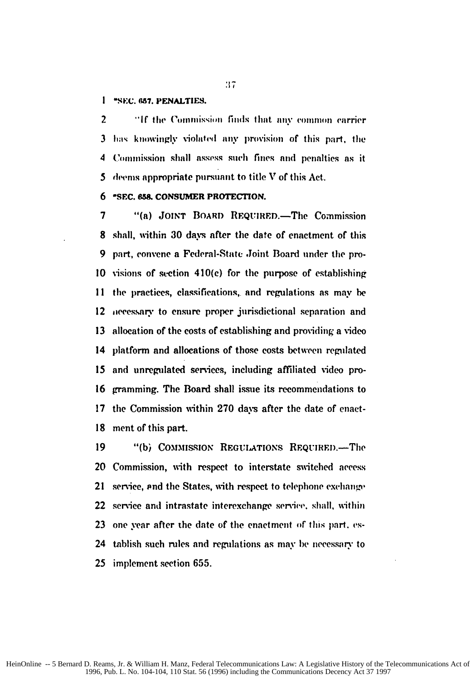$\mathbf{I}$ "SEC. 657. PENALTIES.

"If the Commission finds that any common carrier  $\overline{2}$  $\mathbf{3}$ has knowingly violated any provision of this part, the  $\overline{\mathbf{A}}$ Commission shall assess such fines and penalties as it 5 deems appropriate pursuant to title  $V$  of this Act.

#### 6 "SEC. 658. CONSUMER PROTECTION.

7 "(a) JOINT BOARD REQUIRED.-The Commission shall, within 30 days after the date of enactment of this 8 9 part, convene a Federal-State Joint Board under the pro-10 visions of section  $410(c)$  for the purpose of establishing 11 the practices, classifications, and regulations as may be necessary to ensure proper jurisdictional separation and  $12<sup>2</sup>$ 13 allocation of the costs of establishing and providing a video 14 platform and allocations of those costs between regulated 15 and unregulated services, including affiliated video pro-16 gramming. The Board shall issue its recommendations to the Commission within 270 days after the date of enact- $17$ 18 ment of this part.

19 "(b) COMMISSION REGULATIONS REQUIRED.-The 20 Commission, with respect to interstate switched access service, and the States, with respect to telephone exchange 21 22 service and intrastate interexchange service, shall, within 23 one year after the date of the enactment of this part, es-24 tablish such rules and regulations as may be necessary to 25 implement section 655.

 $37$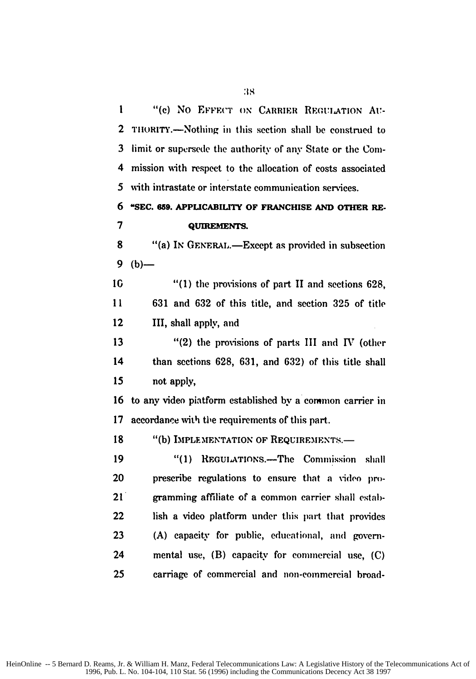**1 • "(c) NO EFFECT ON CARRIER REGULATION AU-**2 THORITY.—Nothing in this section shall be construed to 3 limit or supersede the authority of any State or the Com-4 mission with respect to the allocation of costs associated *5* with intrastate or interstate communication services. **6 "SEC. 659. APPLICABILITY OF FRANCHISE AND OTHER RE-7 QUREMENTS. 8** "(a) IN GENERAL.—Except as provided in subsection **9 (b)- 10** "(1) the provisions of part II and sections 628, **11** 631 and 632 of this title, and section 325 of title 12 III, shall apply, and **13** "(2) the provisions of parts III and W, (other 14 than sections **628, 631,** and 632) of this title shall **15** not apply, 16 to any video piatform established by a common carrier in **17** accordance with the requirements of this part. 18 "(b) IMPLEMENTATION OF REQUIREMENTS.-19 "(1) REGULATIONS.—The Commission shall 20 prescribe regulations to ensure that a video pro-21 gramming affiliate of a common carrier shall estab-22 lish a video platform under this part that provides 23 (A) capacity for public, educational, and govern-24 mental use, (B) capacity for commercial use, (C) 25 carriage of commercial and non-commercial broad-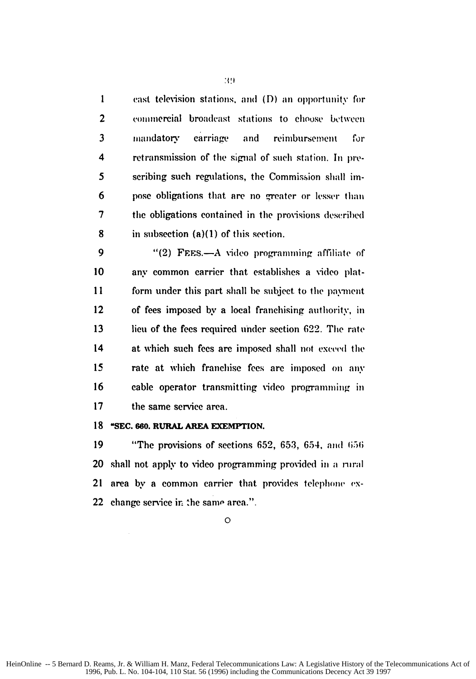| $\mathbf{1}$            | east television stations, and (D) an opportunity for  |
|-------------------------|-------------------------------------------------------|
| $\overline{2}$          | commercial broadcast stations to choose between       |
| $\overline{\mathbf{3}}$ | mandatory carriage and reimbursement<br>for           |
| $\overline{\mathbf{4}}$ | retransmission of the signal of such station. In pre- |
| 5                       | seribing such regulations, the Commission shall im-   |
| 6                       | pose obligations that are no greater or lesser than   |
| 7                       | the obligations contained in the provisions described |
| 8                       | in subsection $(a)(1)$ of this section.               |

 $9$  "(2) FEES.—A video programming affiliate of **10** any common carrier that establishes a video plat-**11** form under this part shall be subject to the payment 12 of fees imposed by a local franchising authority, in 13 lieu of the fees required under section 622. The rate 14 at which such fees are imposed shall not exceed the 15 rate at which franchise fees are imposed on any 16 cable operator transmitting video programming in **17** the same service area.

### **18 "SEC. 660. RURAL AREA EXEMPTION.**

19 "The provisions of sections 652, 653, 654, and 656 20 shall not apply to video programming provided in a rural 21 area by a common carrier that provides telephone ex-22 change service in the same area.".

 $\circ$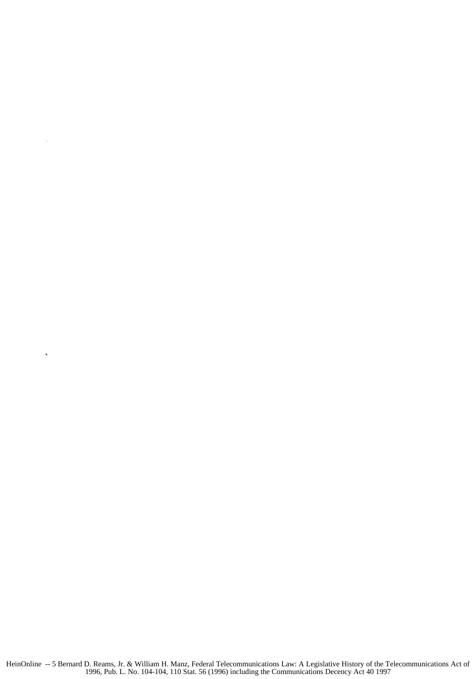HeinOnline -- 5 Bernard D. Reams, Jr. & William H. Manz, Federal Telecommunications Law: A Legislative History of the Telecommunications Act of 1996, Pub. L. No. 104-104, 110 Stat. 56 (1996) including the Communications Decency Act 40 1997

 $\mathcal{A}^{\mathcal{A}}$ 

 $\hat{\mathbf{v}}$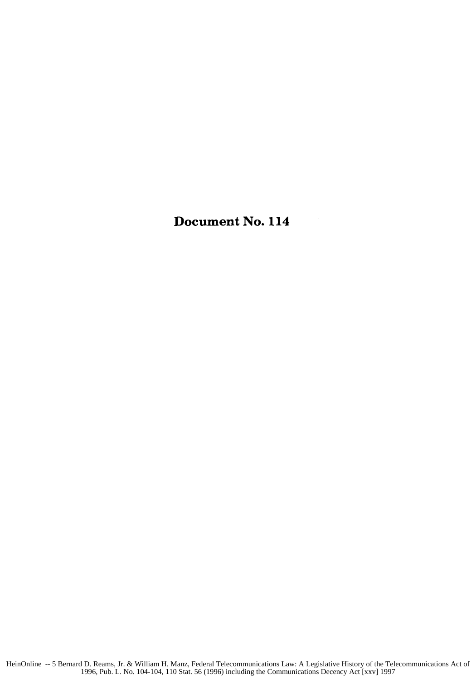# Document No. 114